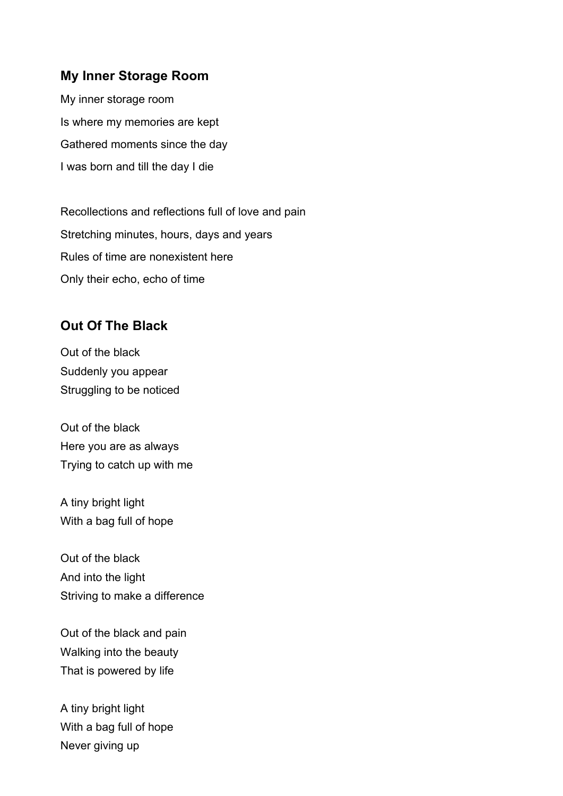#### **My Inner Storage Room**

My inner storage room Is where my memories are kept Gathered moments since the day I was born and till the day I die

Recollections and reflections full of love and pain Stretching minutes, hours, days and years Rules of time are nonexistent here Only their echo, echo of time

## **Out Of The Black**

Out of the black Suddenly you appear Struggling to be noticed

Out of the black Here you are as always Trying to catch up with me

A tiny bright light With a bag full of hope

Out of the black And into the light Striving to make a difference

Out of the black and pain Walking into the beauty That is powered by life

A tiny bright light With a bag full of hope Never giving up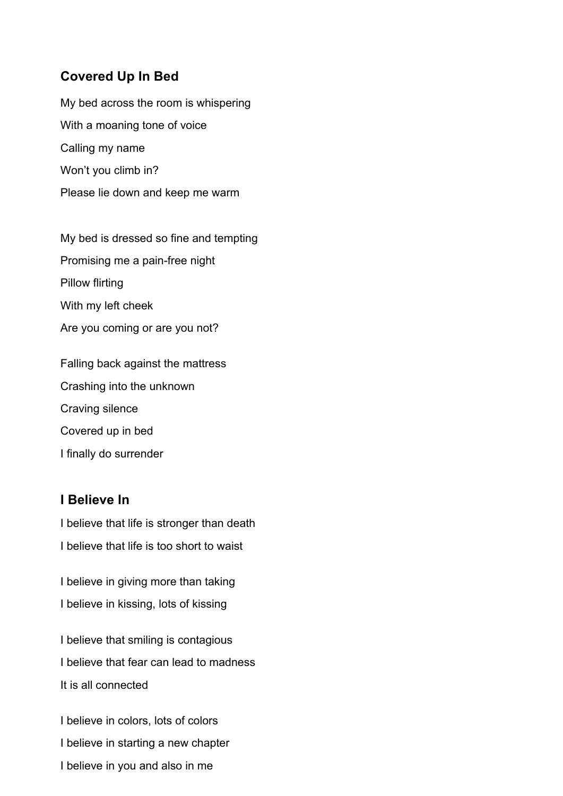## **Covered Up In Bed**

My bed across the room is whispering With a moaning tone of voice Calling my name Won't you climb in? Please lie down and keep me warm

My bed is dressed so fine and tempting Promising me a pain-free night Pillow flirting With my left cheek Are you coming or are you not?

Falling back against the mattress Crashing into the unknown Craving silence Covered up in bed I finally do surrender

#### **I Believe In**

I believe that life is stronger than death I believe that life is too short to waist

I believe in giving more than taking I believe in kissing, lots of kissing

I believe that smiling is contagious I believe that fear can lead to madness It is all connected

I believe in colors, lots of colors I believe in starting a new chapter I believe in you and also in me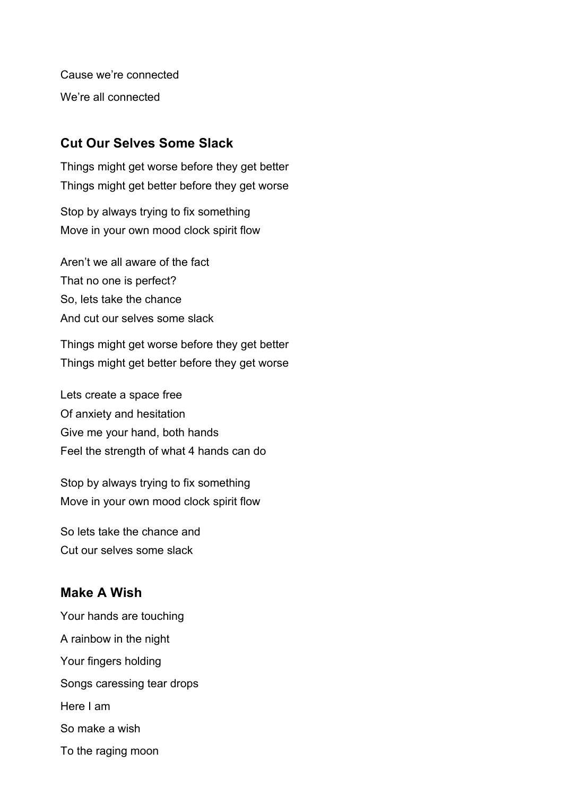Cause we're connected We're all connected

## **Cut Our Selves Some Slack**

Things might get worse before they get better Things might get better before they get worse

Stop by always trying to fix something Move in your own mood clock spirit flow

Aren't we all aware of the fact That no one is perfect? So, lets take the chance And cut our selves some slack

Things might get worse before they get better Things might get better before they get worse

Lets create a space free Of anxiety and hesitation Give me your hand, both hands Feel the strength of what 4 hands can do

Stop by always trying to fix something Move in your own mood clock spirit flow

So lets take the chance and Cut our selves some slack

# **Make A Wish**

Your hands are touching A rainbow in the night Your fingers holding Songs caressing tear drops Here I am So make a wish To the raging moon